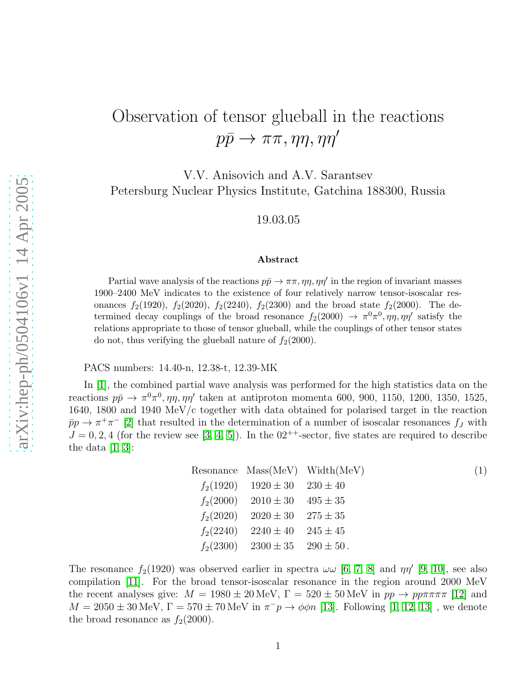## Observation of tensor glueball in the reactions  $p\bar{p} \rightarrow \pi\pi, \eta\eta, \eta\eta'$

V.V. Anisovich and A.V. Sarantsev Petersburg Nuclear Physics Institute, Gatchina 188300, Russia

19.03.05

## Abstract

Partial wave analysis of the reactions  $p\bar{p} \to \pi\pi, \eta\eta, \eta\eta'$  in the region of invariant masses 1900–2400 MeV indicates to the existence of four relatively narrow tensor-isoscalar resonances  $f_2(1920)$ ,  $f_2(2020)$ ,  $f_2(2240)$ ,  $f_2(2300)$  and the broad state  $f_2(2000)$ . The determined decay couplings of the broad resonance  $f_2(2000) \rightarrow \pi^0 \pi^0, \eta \eta, \eta \eta'$  satisfy the relations appropriate to those of tensor glueball, while the couplings of other tensor states do not, thus verifying the glueball nature of  $f_2(2000)$ .

PACS numbers: 14.40-n, 12.38-t, 12.39-MK

In [\[1\]](#page-2-0), the combined partial wave analysis was performed for the high statistics data on the reactions  $p\bar{p} \to \pi^0 \pi^0$ ,  $\eta \eta$ ,  $\eta \eta'$  taken at antiproton momenta 600, 900, 1150, 1200, 1350, 1525, 1640, 1800 and 1940 MeV/c together with data obtained for polarised target in the reaction  $\bar{p}p \to \pi^+\pi^-$  [\[2\]](#page-2-1) that resulted in the determination of a number of isoscalar resonances  $f_J$  with  $J = 0, 2, 4$  (for the review see [\[3,](#page-2-2) [4,](#page-2-3) [5\]](#page-2-4)). In the  $02^{++}$ -sector, five states are required to describe the data  $[1, 3]$  $[1, 3]$ :

Resonance Mass(MeV) Width(MeV) (1)  
\n
$$
f_2(1920)
$$
 1920 ± 30 230 ± 40  
\n $f_2(2000)$  2010 ± 30 495 ± 35  
\n $f_2(2020)$  2020 ± 30 275 ± 35  
\n $f_2(2240)$  2240 ± 40 245 ± 45  
\n $f_2(2300)$  2300 ± 35 290 ± 50.

The resonance  $f_2(1920)$  was observed earlier in spectra  $\omega\omega$  [\[6,](#page-2-5) [7,](#page-2-6) [8\]](#page-2-7) and  $\eta\eta'$  [\[9,](#page-3-0) [10\]](#page-3-1), see also compilation [\[11\]](#page-3-2). For the broad tensor-isoscalar resonance in the region around 2000 MeV the recent analyses give:  $M = 1980 \pm 20 \text{ MeV}$ ,  $\Gamma = 520 \pm 50 \text{ MeV}$  in  $pp \to pp \pi \pi \pi \pi$  [\[12\]](#page-3-3) and  $M = 2050 \pm 30$  MeV,  $\Gamma = 570 \pm 70$  MeV in  $\pi^- p \to \phi \phi n$  [\[13\]](#page-3-4). Following [\[1,](#page-2-0) [12,](#page-3-3) [13\]](#page-3-4), we denote the broad resonance as  $f_2(2000)$ .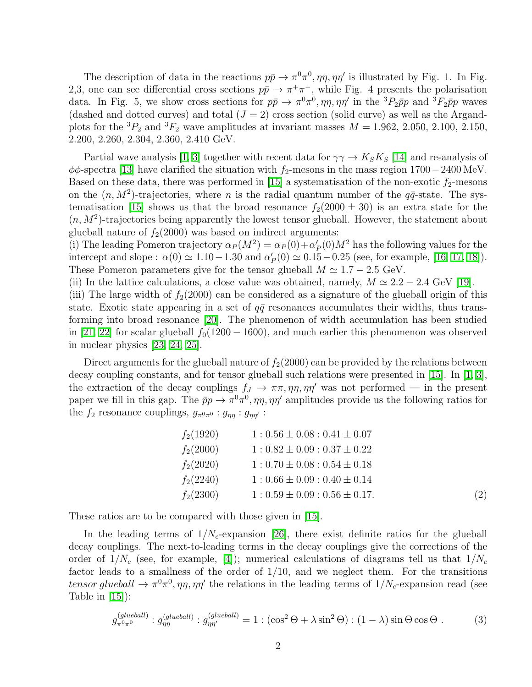The description of data in the reactions  $p\bar{p} \to \pi^0 \pi^0$ ,  $\eta \eta$ ,  $\eta \eta'$  is illustrated by Fig. 1. In Fig. 2,3, one can see differential cross sections  $p\bar{p} \to \pi^+\pi^-$ , while Fig. 4 presents the polarisation data. In Fig. 5, we show cross sections for  $p\bar{p} \to \pi^0 \pi^0$ ,  $\eta \eta$ ,  $\eta \eta'$  in the  ${}^3P_2\bar{p}p$  and  ${}^3F_2\bar{p}p$  waves (dashed and dotted curves) and total  $(J = 2)$  cross section (solid curve) as well as the Argandplots for the <sup>3</sup> $P_2$  and <sup>3</sup> $F_2$  wave amplitudes at invariant masses  $M = 1.962, 2.050, 2.100, 2.150,$ 2.200, 2.260, 2.304, 2.360, 2.410 GeV.

Partial wave analysis [\[1,](#page-2-0) [3\]](#page-2-2) together with recent data for  $\gamma\gamma \to K_S K_S$  [\[14\]](#page-3-5) and re-analysis of  $\phi\phi$ -spectra [\[13\]](#page-3-4) have clarified the situation with f<sub>2</sub>-mesons in the mass region 1700−2400 MeV. Based on these data, there was performed in [\[15\]](#page-3-6) a systematisation of the non-exotic  $f_2$ -mesons on the  $(n, M^2)$ -trajectories, where *n* is the radial quantum number of the  $q\bar{q}$ -state. The sys-tematisation [\[15\]](#page-3-6) shows us that the broad resonance  $f_2(2000 \pm 30)$  is an extra state for the  $(n, M<sup>2</sup>)$ -trajectories being apparently the lowest tensor glueball. However, the statement about glueball nature of  $f_2(2000)$  was based on indirect arguments:

(i) The leading Pomeron trajectory  $\alpha_P(M^2) = \alpha_P(0) + \alpha'_P$  $P_P(0)M^2$  has the following values for the intercept and slope :  $\alpha(0) \simeq 1.10 - 1.30$  and  $\alpha'_{1}$  $P_P'(0) \simeq 0.15 - 0.25$  (see, for example, [\[16,](#page-3-7) [17,](#page-3-8) [18\]](#page-3-9)). These Pomeron parameters give for the tensor glueball  $M \simeq 1.7 - 2.5$  GeV.

(ii) In the lattice calculations, a close value was obtained, namely,  $M \approx 2.2 - 2.4$  GeV [\[19\]](#page-3-10).

(iii) The large width of  $f_2(2000)$  can be considered as a signature of the glueball origin of this state. Exotic state appearing in a set of  $q\bar{q}$  resonances accumulates their widths, thus transforming into broad resonance [\[20\]](#page-3-11). The phenomenon of width accumulation has been studied in [\[21,](#page-3-12) [22\]](#page-3-13) for scalar glueball  $f_0(1200 - 1600)$ , and much earlier this phenomenon was observed in nuclear physics [\[23,](#page-3-14) [24,](#page-3-15) [25\]](#page-3-16).

Direct arguments for the glueball nature of  $f_2(2000)$  can be provided by the relations between decay coupling constants, and for tensor glueball such relations were presented in [\[15\]](#page-3-6). In [\[1,](#page-2-0) [3\]](#page-2-2), the extraction of the decay couplings  $f_J \to \pi \pi, \eta \eta, \eta \eta'$  was not performed — in the present paper we fill in this gap. The  $\bar{p}p \to \pi^0 \pi^0$ ,  $\eta \eta$ ,  $\eta \eta'$  amplitudes provide us the following ratios for the  $f_2$  resonance couplings,  $g_{\pi^0\pi^0} : g_{\eta\eta} : g_{\eta\eta'}$ :

<span id="page-1-1"></span>

| $f_2(1920)$ | $1: 0.56 \pm 0.08: 0.41 \pm 0.07$  |     |
|-------------|------------------------------------|-----|
| $f_2(2000)$ | $1:0.82 \pm 0.09:0.37 \pm 0.22$    |     |
| $f_2(2020)$ | $1:0.70 \pm 0.08:0.54 \pm 0.18$    |     |
| $f_2(2240)$ | $1:0.66 \pm 0.09:0.40 \pm 0.14$    |     |
| $f_2(2300)$ | $1: 0.59 \pm 0.09: 0.56 \pm 0.17.$ | (2) |
|             |                                    |     |

These ratios are to be compared with those given in [\[15\]](#page-3-6).

In the leading terms of  $1/N_c$ -expansion [\[26\]](#page-3-17), there exist definite ratios for the glueball decay couplings. The next-to-leading terms in the decay couplings give the corrections of the order of  $1/N_c$  (see, for example, [\[4\]](#page-2-3)); numerical calculations of diagrams tell us that  $1/N_c$ factor leads to a smallness of the order of  $1/10$ , and we neglect them. For the transitions tensor glueball  $\rightarrow \pi^0 \pi^0$ ,  $\eta \eta$ ,  $\eta \eta'$  the relations in the leading terms of  $1/N_c$ -expansion read (see Table in  $[15]$ :

<span id="page-1-0"></span>
$$
g_{\pi^0 \pi^0}^{(glueball)}: g_{\eta \eta}^{(glueball)}: g_{\eta \eta'}^{(glueball)} = 1: (\cos^2 \Theta + \lambda \sin^2 \Theta) : (1 - \lambda) \sin \Theta \cos \Theta . \tag{3}
$$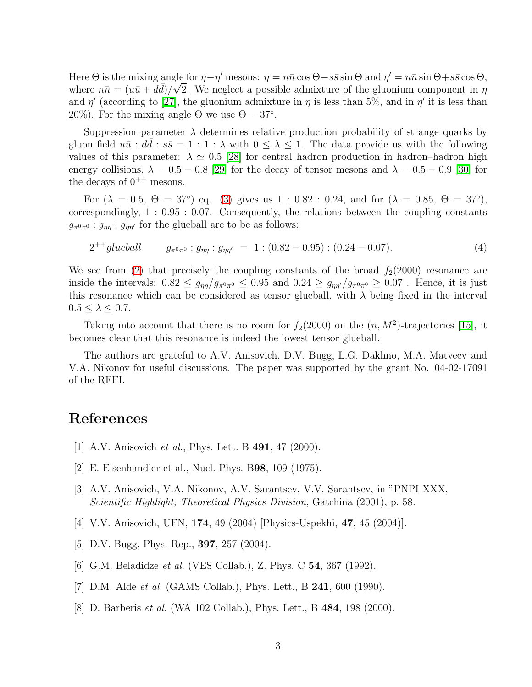Here  $\Theta$  is the mixing angle for  $\eta - \eta'$  mesons:  $\eta = n\bar{n}\cos\Theta - s\bar{s}\sin\Theta$  and  $\eta' = n\bar{n}\sin\Theta + s\bar{s}\cos\Theta$ , where  $n\bar{n} = (u\bar{u} + d\bar{d})/\sqrt{2}$ . We neglect a possible admixture of the gluonium component in  $\eta$ and  $\eta'$  (according to [\[27\]](#page-3-18), the gluonium admixture in  $\eta$  is less than 5%, and in  $\eta'$  it is less than 20%). For the mixing angle  $\Theta$  we use  $\Theta = 37^{\circ}$ .

Suppression parameter  $\lambda$  determines relative production probability of strange quarks by gluon field  $u\bar{u}$ :  $d\bar{d}$ :  $s\bar{s} = 1 : 1 : \lambda$  with  $0 \leq \lambda \leq 1$ . The data provide us with the following values of this parameter:  $\lambda \simeq 0.5$  [\[28\]](#page-3-19) for central hadron production in hadron–hadron high energy collisions,  $\lambda = 0.5 - 0.8$  [\[29\]](#page-3-20) for the decay of tensor mesons and  $\lambda = 0.5 - 0.9$  [\[30\]](#page-3-21) for the decays of  $0^{++}$  mesons.

For  $(\lambda = 0.5, \Theta = 37^{\circ})$  eq. [\(3\)](#page-1-0) gives us 1 : 0.82 : 0.24, and for  $(\lambda = 0.85, \Theta = 37^{\circ})$ , correspondingly, 1 : 0.95 : 0.07. Consequently, the relations between the coupling constants  $g_{\pi^0\pi^0}: g_{\eta\eta}: g_{\eta\eta'}$  for the glueball are to be as follows:

$$
2^{++}glueball \t\t g_{\pi^0\pi^0}: g_{\eta\eta}: g_{\eta\eta'} = 1: (0.82 - 0.95): (0.24 - 0.07). \t\t(4)
$$

We see from [\(2\)](#page-1-1) that precisely the coupling constants of the broad  $f_2(2000)$  resonance are inside the intervals:  $0.82 \le g_{\eta\eta}/g_{\pi^0\pi^0} \le 0.95$  and  $0.24 \ge g_{\eta\eta}/g_{\pi^0\pi^0} \ge 0.07$ . Hence, it is just this resonance which can be considered as tensor glueball, with  $\lambda$  being fixed in the interval  $0.5 \leq \lambda \leq 0.7$ .

Taking into account that there is no room for  $f_2(2000)$  on the  $(n, M^2)$ -trajectories [\[15\]](#page-3-6), it becomes clear that this resonance is indeed the lowest tensor glueball.

The authors are grateful to A.V. Anisovich, D.V. Bugg, L.G. Dakhno, M.A. Matveev and V.A. Nikonov for useful discussions. The paper was supported by the grant No. 04-02-17091 of the RFFI.

## <span id="page-2-0"></span>References

- <span id="page-2-1"></span>[1] A.V. Anisovich et al., Phys. Lett. B 491, 47 (2000).
- <span id="page-2-2"></span>[2] E. Eisenhandler et al., Nucl. Phys. B98, 109 (1975).
- [3] A.V. Anisovich, V.A. Nikonov, A.V. Sarantsev, V.V. Sarantsev, in "PNPI XXX, Scientific Highlight, Theoretical Physics Division, Gatchina (2001), p. 58.
- <span id="page-2-4"></span><span id="page-2-3"></span>[4] V.V. Anisovich, UFN, 174, 49 (2004) [Physics-Uspekhi, 47, 45 (2004)].
- <span id="page-2-5"></span>[5] D.V. Bugg, Phys. Rep., 397, 257 (2004).
- <span id="page-2-6"></span>[6] G.M. Beladidze *et al.* (VES Collab.), Z. Phys. C **54**, 367 (1992).
- <span id="page-2-7"></span>[7] D.M. Alde *et al.* (GAMS Collab.), Phys. Lett., B **241**, 600 (1990).
- [8] D. Barberis et al. (WA 102 Collab.), Phys. Lett., B 484, 198 (2000).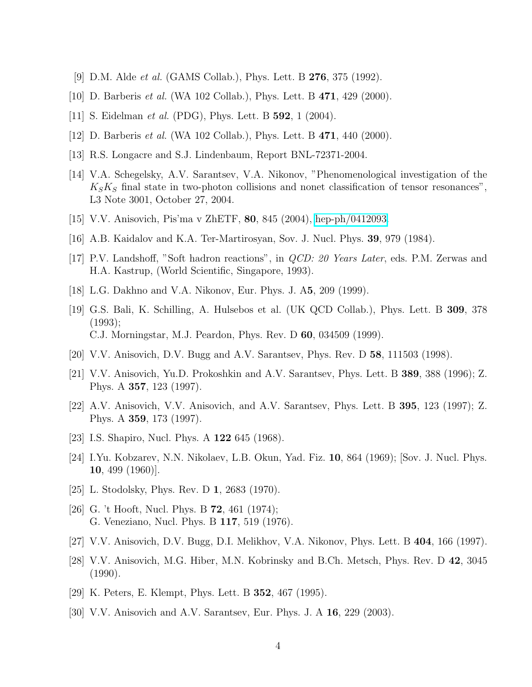- <span id="page-3-0"></span>[9] D.M. Alde et al. (GAMS Collab.), Phys. Lett. B 276, 375 (1992).
- <span id="page-3-2"></span><span id="page-3-1"></span>[10] D. Barberis *et al.* (WA 102 Collab.), Phys. Lett. B **471**, 429 (2000).
- <span id="page-3-3"></span>[11] S. Eidelman *et al.* (PDG), Phys. Lett. B **592**, 1 (2004).
- <span id="page-3-4"></span>[12] D. Barberis *et al.* (WA 102 Collab.), Phys. Lett. B **471**, 440 (2000).
- <span id="page-3-5"></span>[13] R.S. Longacre and S.J. Lindenbaum, Report BNL-72371-2004.
- [14] V.A. Schegelsky, A.V. Sarantsev, V.A. Nikonov, "Phenomenological investigation of the  $K_S K_S$  final state in two-photon collisions and nonet classification of tensor resonances", L3 Note 3001, October 27, 2004.
- <span id="page-3-7"></span><span id="page-3-6"></span>[15] V.V. Anisovich, Pis'ma v ZhETF, 80, 845 (2004), [hep-ph/0412093.](http://arxiv.org/abs/hep-ph/0412093)
- <span id="page-3-8"></span>[16] A.B. Kaidalov and K.A. Ter-Martirosyan, Sov. J. Nucl. Phys. 39, 979 (1984).
- <span id="page-3-9"></span>[17] P.V. Landshoff, "Soft hadron reactions", in QCD: 20 Years Later, eds. P.M. Zerwas and H.A. Kastrup, (World Scientific, Singapore, 1993).
- <span id="page-3-10"></span>[18] L.G. Dakhno and V.A. Nikonov, Eur. Phys. J. A5, 209 (1999).
- [19] G.S. Bali, K. Schilling, A. Hulsebos et al. (UK QCD Collab.), Phys. Lett. B 309, 378 (1993); C.J. Morningstar, M.J. Peardon, Phys. Rev. D 60, 034509 (1999).
- <span id="page-3-12"></span><span id="page-3-11"></span>[20] V.V. Anisovich, D.V. Bugg and A.V. Sarantsev, Phys. Rev. D 58, 111503 (1998).
- <span id="page-3-13"></span>[21] V.V. Anisovich, Yu.D. Prokoshkin and A.V. Sarantsev, Phys. Lett. B 389, 388 (1996); Z. Phys. A 357, 123 (1997).
- [22] A.V. Anisovich, V.V. Anisovich, and A.V. Sarantsev, Phys. Lett. B 395, 123 (1997); Z. Phys. A 359, 173 (1997).
- <span id="page-3-15"></span><span id="page-3-14"></span>[23] I.S. Shapiro, Nucl. Phys. A 122 645 (1968).
- <span id="page-3-16"></span>[24] I.Yu. Kobzarev, N.N. Nikolaev, L.B. Okun, Yad. Fiz. 10, 864 (1969); [Sov. J. Nucl. Phys. 10, 499 (1960)].
- <span id="page-3-17"></span>[25] L. Stodolsky, Phys. Rev. D 1, 2683 (1970).
- <span id="page-3-18"></span>[26] G. 't Hooft, Nucl. Phys. B **72**, 461 (1974); G. Veneziano, Nucl. Phys. B 117, 519 (1976).
- <span id="page-3-19"></span>[27] V.V. Anisovich, D.V. Bugg, D.I. Melikhov, V.A. Nikonov, Phys. Lett. B 404, 166 (1997).
- [28] V.V. Anisovich, M.G. Hiber, M.N. Kobrinsky and B.Ch. Metsch, Phys. Rev. D 42, 3045 (1990).
- <span id="page-3-21"></span><span id="page-3-20"></span>[29] K. Peters, E. Klempt, Phys. Lett. B 352, 467 (1995).
- [30] V.V. Anisovich and A.V. Sarantsev, Eur. Phys. J. A 16, 229 (2003).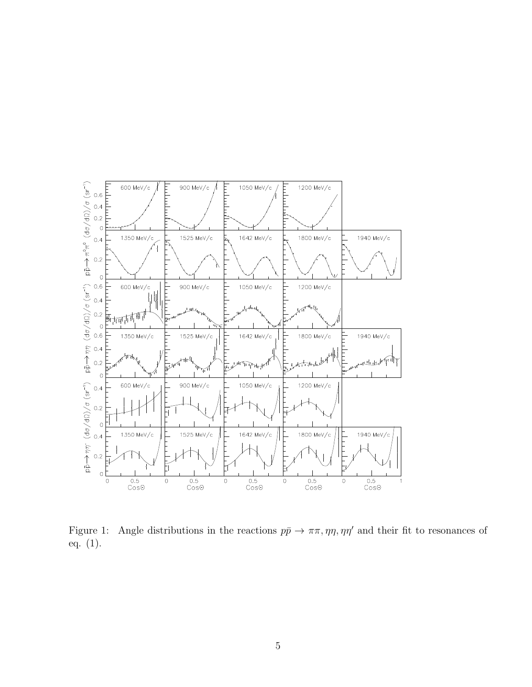

Figure 1: Angle distributions in the reactions  $p\bar{p} \to \pi\pi, \eta\eta, \eta\eta'$  and their fit to resonances of eq. (1).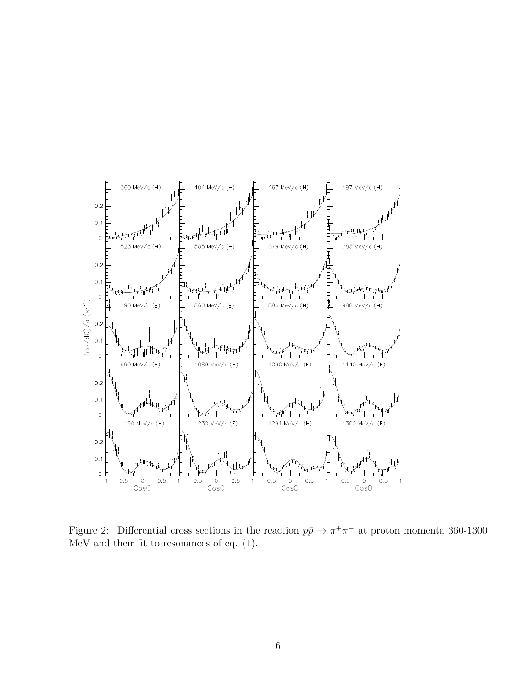

Figure 2: Differential cross sections in the reaction  $p\bar{p} \to \pi^+\pi^-$  at proton momenta 360-1300 MeV and their fit to resonances of eq. (1).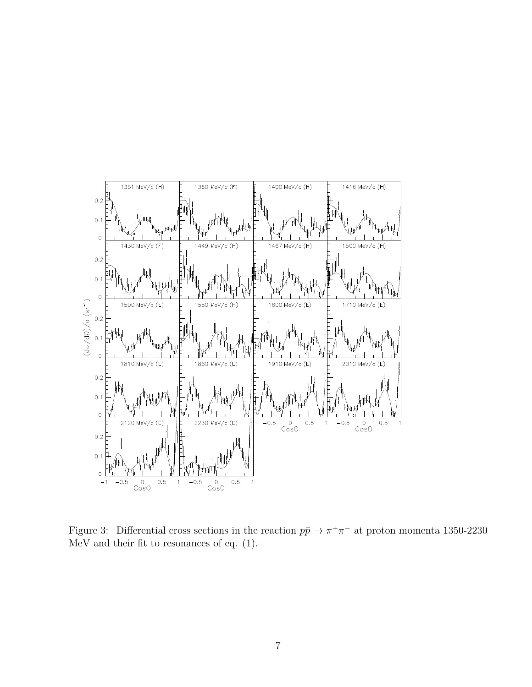

Figure 3: Differential cross sections in the reaction  $p\bar{p} \to \pi^+\pi^-$  at proton momenta 1350-2230 MeV and their fit to resonances of eq. (1).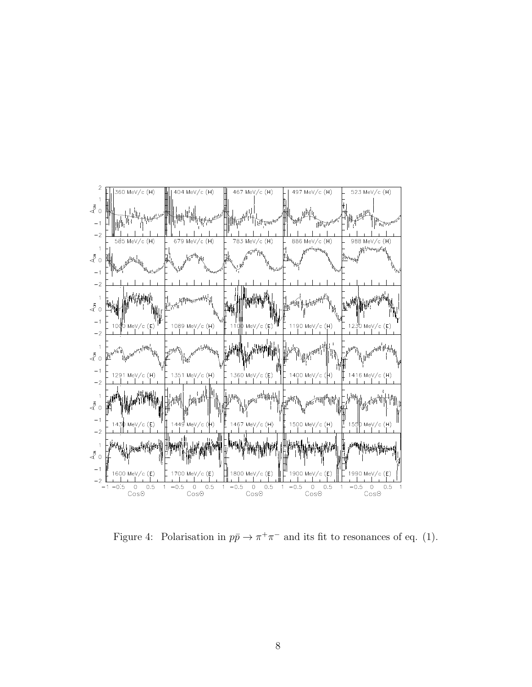

Figure 4: Polarisation in  $p\bar{p} \to \pi^+\pi^-$  and its fit to resonances of eq. (1).